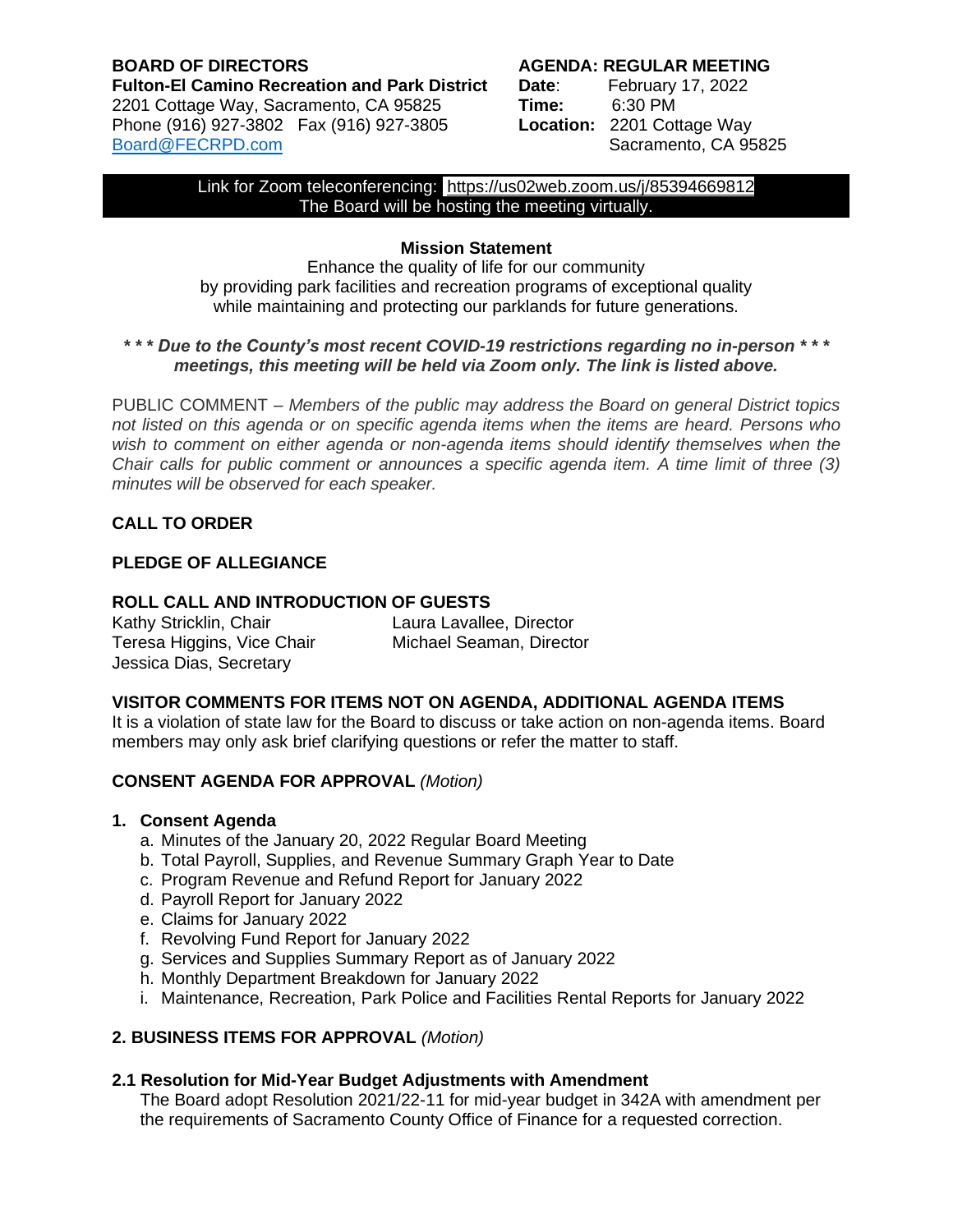## **BOARD OF DIRECTORS AGENDA: REGULAR MEETING Fulton-El Camino Recreation and Park District Date**: February 17, 2022 2201 Cottage Way, Sacramento, CA 95825 **Time:** 6:30 PM Phone (916) 927-3802 Fax (916) 927-3805 **Location:** 2201 Cottage Way [Board@FECRPD.com](mailto:Board@FECRPD.com) Sacramento, CA 95825

Link for Zoom teleconferencing: <https://us02web.zoom.us/j/85394669812> The Board will be hosting the meeting virtually.

# **Mission Statement**

Enhance the quality of life for our community by providing park facilities and recreation programs of exceptional quality while maintaining and protecting our parklands for future generations.

# *\* \* \* Due to the County's most recent COVID-19 restrictions regarding no in-person \* \* \* meetings, this meeting will be held via Zoom only. The link is listed above.*

PUBLIC COMMENT *– Members of the public may address the Board on general District topics not listed on this agenda or on specific agenda items when the items are heard. Persons who wish to comment on either agenda or non-agenda items should identify themselves when the Chair calls for public comment or announces a specific agenda item. A time limit of three (3) minutes will be observed for each speaker.* 

# **CALL TO ORDER**

# **PLEDGE OF ALLEGIANCE**

# **ROLL CALL AND INTRODUCTION OF GUESTS**

| Kathy Stricklin, Chair     | Laura Lavallee, Director |
|----------------------------|--------------------------|
| Teresa Higgins, Vice Chair | Michael Seaman, Director |
| Jessica Dias, Secretary    |                          |

# **VISITOR COMMENTS FOR ITEMS NOT ON AGENDA, ADDITIONAL AGENDA ITEMS**

It is a violation of state law for the Board to discuss or take action on non-agenda items. Board members may only ask brief clarifying questions or refer the matter to staff.

# **CONSENT AGENDA FOR APPROVAL** *(Motion)*

### **1. Consent Agenda**

- a. Minutes of the January 20, 2022 Regular Board Meeting
- b. Total Payroll, Supplies, and Revenue Summary Graph Year to Date
- c. Program Revenue and Refund Report for January 2022
- d. Payroll Report for January 2022
- e. Claims for January 2022
- f. Revolving Fund Report for January 2022
- g. Services and Supplies Summary Report as of January 2022
- h. Monthly Department Breakdown for January 2022
- i. Maintenance, Recreation, Park Police and Facilities Rental Reports for January 2022

# **2. BUSINESS ITEMS FOR APPROVAL** *(Motion)*

### **2.1 Resolution for Mid-Year Budget Adjustments with Amendment**

The Board adopt Resolution 2021/22-11 for mid-year budget in 342A with amendment per the requirements of Sacramento County Office of Finance for a requested correction.